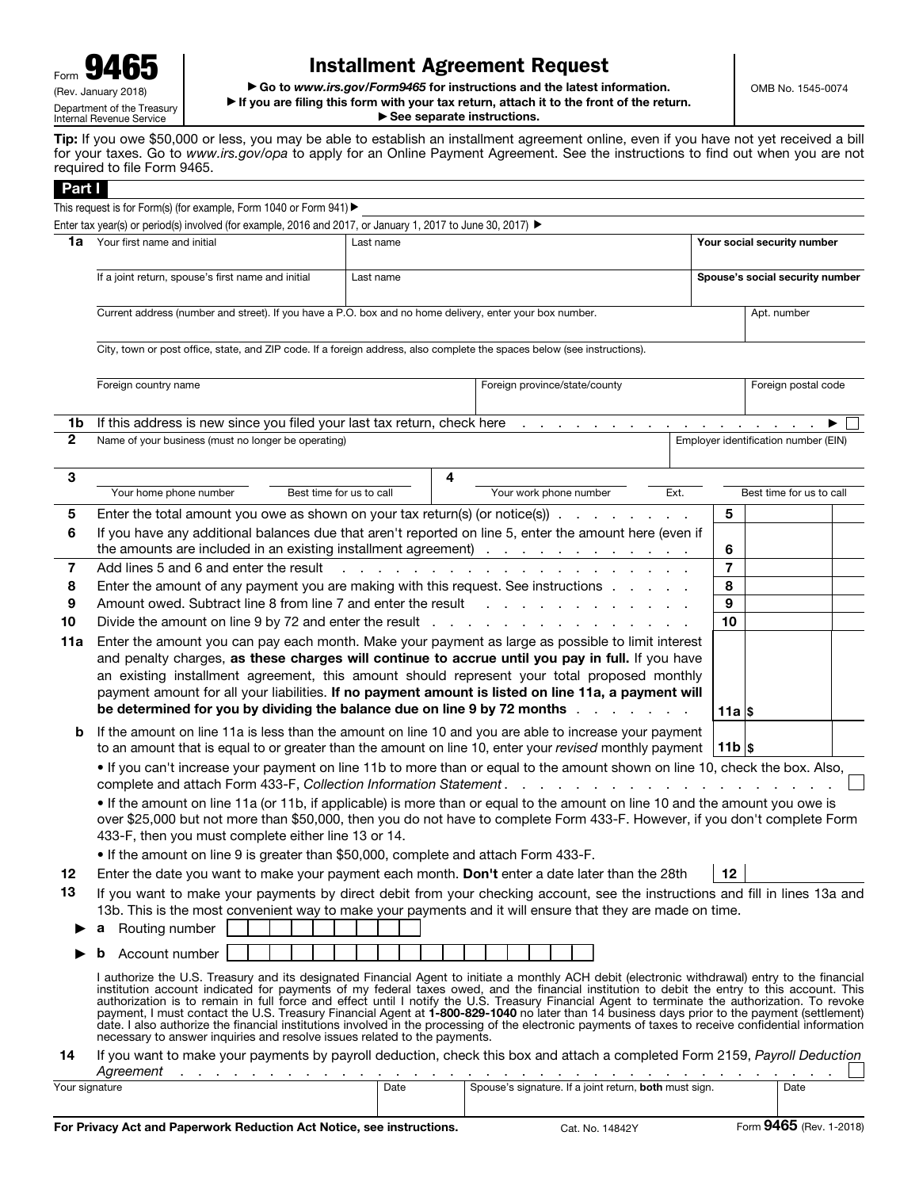## Installment Agreement Request

▶ Go to *www.irs.gov/Form9465* for instructions and the latest information. ▶ If you are filing this form with your tax return, attach it to the front of the return.

▶ See separate instructions.

OMB No. 1545-0074

Tip: If you owe \$50,000 or less, you may be able to establish an installment agreement online, even if you have not yet received a bill for your taxes. Go to *www.irs.gov/opa* to apply for an Online Payment Agreement. See the instructions to find out when you are not required to file Form 9465.

| Part I             |                                                                                                                                                                                                                                                                                                |                                                                                                                          |                                                                 |      |                             |                                      |  |  |  |
|--------------------|------------------------------------------------------------------------------------------------------------------------------------------------------------------------------------------------------------------------------------------------------------------------------------------------|--------------------------------------------------------------------------------------------------------------------------|-----------------------------------------------------------------|------|-----------------------------|--------------------------------------|--|--|--|
|                    | This request is for Form(s) (for example, Form 1040 or Form 941) ▶                                                                                                                                                                                                                             |                                                                                                                          |                                                                 |      |                             |                                      |  |  |  |
|                    | Enter tax year(s) or period(s) involved (for example, 2016 and 2017, or January 1, 2017 to June 30, 2017) ►                                                                                                                                                                                    |                                                                                                                          |                                                                 |      |                             |                                      |  |  |  |
| 1a                 | Your first name and initial                                                                                                                                                                                                                                                                    | Last name                                                                                                                |                                                                 |      | Your social security number |                                      |  |  |  |
|                    | If a joint return, spouse's first name and initial                                                                                                                                                                                                                                             | Last name                                                                                                                |                                                                 |      |                             | Spouse's social security number      |  |  |  |
|                    | Current address (number and street). If you have a P.O. box and no home delivery, enter your box number.                                                                                                                                                                                       |                                                                                                                          |                                                                 |      |                             |                                      |  |  |  |
|                    |                                                                                                                                                                                                                                                                                                |                                                                                                                          |                                                                 |      |                             | Apt. number                          |  |  |  |
|                    |                                                                                                                                                                                                                                                                                                | City, town or post office, state, and ZIP code. If a foreign address, also complete the spaces below (see instructions). |                                                                 |      |                             |                                      |  |  |  |
|                    |                                                                                                                                                                                                                                                                                                |                                                                                                                          |                                                                 |      |                             |                                      |  |  |  |
|                    | Foreign country name                                                                                                                                                                                                                                                                           |                                                                                                                          | Foreign province/state/county                                   |      |                             | Foreign postal code                  |  |  |  |
|                    |                                                                                                                                                                                                                                                                                                |                                                                                                                          |                                                                 |      |                             |                                      |  |  |  |
| 1b<br>$\mathbf{2}$ | If this address is new since you filed your last tax return, check here<br>Name of your business (must no longer be operating)                                                                                                                                                                 |                                                                                                                          | and a series of the contract and a                              |      | $\sim 100$ km s $^{-1}$     | Employer identification number (EIN) |  |  |  |
|                    |                                                                                                                                                                                                                                                                                                |                                                                                                                          |                                                                 |      |                             |                                      |  |  |  |
| 3                  |                                                                                                                                                                                                                                                                                                | 4                                                                                                                        |                                                                 |      |                             |                                      |  |  |  |
|                    | Your home phone number<br>Best time for us to call                                                                                                                                                                                                                                             |                                                                                                                          | Your work phone number                                          | Ext. |                             | Best time for us to call             |  |  |  |
| 5                  | Enter the total amount you owe as shown on your tax return(s) (or notice(s)) $\ldots$                                                                                                                                                                                                          |                                                                                                                          |                                                                 |      | 5                           |                                      |  |  |  |
| 6                  | If you have any additional balances due that aren't reported on line 5, enter the amount here (even if                                                                                                                                                                                         |                                                                                                                          |                                                                 |      |                             |                                      |  |  |  |
|                    | the amounts are included in an existing installment agreement)                                                                                                                                                                                                                                 |                                                                                                                          |                                                                 |      | 6                           |                                      |  |  |  |
| 7<br>8             | Add lines 5 and 6 and enter the result<br>Enter the amount of any payment you are making with this request. See instructions                                                                                                                                                                   |                                                                                                                          | the contract of the contract of the con-                        |      | $\overline{7}$<br>8         |                                      |  |  |  |
| 9                  | Amount owed. Subtract line 8 from line 7 and enter the result                                                                                                                                                                                                                                  |                                                                                                                          |                                                                 |      | $\boldsymbol{9}$            |                                      |  |  |  |
| 10                 |                                                                                                                                                                                                                                                                                                |                                                                                                                          |                                                                 |      | 10                          |                                      |  |  |  |
| 11a                | Enter the amount you can pay each month. Make your payment as large as possible to limit interest                                                                                                                                                                                              |                                                                                                                          |                                                                 |      |                             |                                      |  |  |  |
|                    | and penalty charges, as these charges will continue to accrue until you pay in full. If you have                                                                                                                                                                                               |                                                                                                                          |                                                                 |      |                             |                                      |  |  |  |
|                    | an existing installment agreement, this amount should represent your total proposed monthly                                                                                                                                                                                                    |                                                                                                                          |                                                                 |      |                             |                                      |  |  |  |
|                    | payment amount for all your liabilities. If no payment amount is listed on line 11a, a payment will                                                                                                                                                                                            |                                                                                                                          |                                                                 |      |                             |                                      |  |  |  |
|                    | be determined for you by dividing the balance due on line 9 by 72 months                                                                                                                                                                                                                       |                                                                                                                          |                                                                 |      | 11a Is                      |                                      |  |  |  |
| b                  | If the amount on line 11a is less than the amount on line 10 and you are able to increase your payment<br>to an amount that is equal to or greater than the amount on line 10, enter your revised monthly payment $ 11b $ \$                                                                   |                                                                                                                          |                                                                 |      |                             |                                      |  |  |  |
|                    | . If you can't increase your payment on line 11b to more than or equal to the amount shown on line 10, check the box. Also,                                                                                                                                                                    |                                                                                                                          |                                                                 |      |                             |                                      |  |  |  |
|                    | complete and attach Form 433-F, Collection Information Statement.                                                                                                                                                                                                                              |                                                                                                                          |                                                                 |      |                             |                                      |  |  |  |
|                    | . If the amount on line 11a (or 11b, if applicable) is more than or equal to the amount on line 10 and the amount you owe is                                                                                                                                                                   |                                                                                                                          |                                                                 |      |                             |                                      |  |  |  |
|                    | over \$25,000 but not more than \$50,000, then you do not have to complete Form 433-F. However, if you don't complete Form<br>433-F, then you must complete either line 13 or 14.                                                                                                              |                                                                                                                          |                                                                 |      |                             |                                      |  |  |  |
|                    | . If the amount on line 9 is greater than \$50,000, complete and attach Form 433-F.                                                                                                                                                                                                            |                                                                                                                          |                                                                 |      |                             |                                      |  |  |  |
| 12                 | Enter the date you want to make your payment each month. Don't enter a date later than the 28th                                                                                                                                                                                                |                                                                                                                          |                                                                 |      | 12                          |                                      |  |  |  |
| 13                 |                                                                                                                                                                                                                                                                                                |                                                                                                                          |                                                                 |      |                             |                                      |  |  |  |
|                    | If you want to make your payments by direct debit from your checking account, see the instructions and fill in lines 13a and<br>13b. This is the most convenient way to make your payments and it will ensure that they are made on time.                                                      |                                                                                                                          |                                                                 |      |                             |                                      |  |  |  |
|                    | Routing number                                                                                                                                                                                                                                                                                 |                                                                                                                          |                                                                 |      |                             |                                      |  |  |  |
|                    | Account number                                                                                                                                                                                                                                                                                 |                                                                                                                          |                                                                 |      |                             |                                      |  |  |  |
|                    | I authorize the U.S. Treasury and its designated Financial Agent to initiate a monthly ACH debit (electronic withdrawal) entry to the financial                                                                                                                                                |                                                                                                                          |                                                                 |      |                             |                                      |  |  |  |
|                    | institution account indicated for payments of my federal taxes owed, and the financial institution to debit the entry to this account. This                                                                                                                                                    |                                                                                                                          |                                                                 |      |                             |                                      |  |  |  |
|                    | authorization is to remain in full force and effect until I notify the U.S. Treasury Financial Agent to terminate the authorization. To revoke<br>payment, I must contact the U.S. Treasury Financial Agent at 1-800-829-1040 no later than 14 business days prior to the payment (settlement) |                                                                                                                          |                                                                 |      |                             |                                      |  |  |  |
|                    | date. I also authorize the financial institutions involved in the processing of the electronic payments of taxes to receive confidential information<br>necessary to answer inquiries and resolve issues related to the payments.                                                              |                                                                                                                          |                                                                 |      |                             |                                      |  |  |  |
| 14                 | If you want to make your payments by payroll deduction, check this box and attach a completed Form 2159, Payroll Deduction                                                                                                                                                                     |                                                                                                                          |                                                                 |      |                             |                                      |  |  |  |
|                    | Agreement<br>and a straightful and a<br>the contract of the contract                                                                                                                                                                                                                           |                                                                                                                          | the contract of the contract of the contract of the contract of |      |                             |                                      |  |  |  |
| Your signature     |                                                                                                                                                                                                                                                                                                | Date                                                                                                                     | Spouse's signature. If a joint return, both must sign.          |      |                             | Date                                 |  |  |  |
|                    |                                                                                                                                                                                                                                                                                                |                                                                                                                          |                                                                 |      |                             |                                      |  |  |  |
|                    |                                                                                                                                                                                                                                                                                                |                                                                                                                          |                                                                 |      |                             | $0.465$ m.                           |  |  |  |